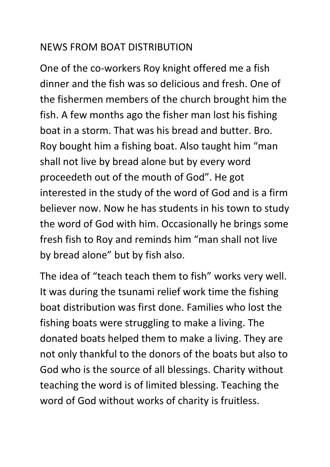## NEWS FROM BOAT DISTRIBUTION

One of the co-workers Roy knight offered me a fish dinner and the fish was so delicious and fresh. One of the fishermen members of the church brought him the fish. A few months ago the fisher man lost his fishing boat in a storm. That was his bread and butter. Bro. Roy bought him a fishing boat. Also taught him "man shall not live by bread alone but by every word proceedeth out of the mouth of God". He got interested in the study of the word of God and is a firm believer now. Now he has students in his town to study the word of God with him. Occasionally he brings some fresh fish to Roy and reminds him "man shall not live by bread alone" but by fish also.

The idea of "teach teach them to fish" works very well. It was during the tsunami relief work time the fishing boat distribution was first done. Families who lost the fishing boats were struggling to make a living. The donated boats helped them to make a living. They are not only thankful to the donors of the boats but also to God who is the source of all blessings. Charity without teaching the word is of limited blessing. Teaching the word of God without works of charity is fruitless.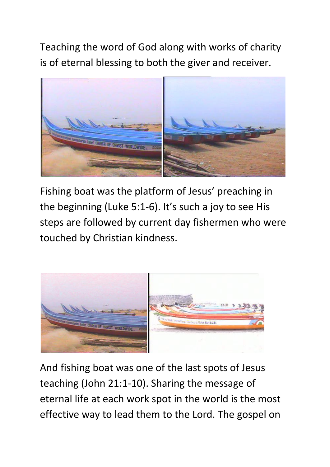Teaching the word of God along with works of charity is of eternal blessing to both the giver and receiver.



Fishing boat was the platform of Jesus' preaching in the beginning (Luke 5:1-6). It's such a joy to see His steps are followed by current day fishermen who were touched by Christian kindness.



And fishing boat was one of the last spots of Jesus teaching (John 21:1-10). Sharing the message of eternal life at each work spot in the world is the most effective way to lead them to the Lord. The gospel on